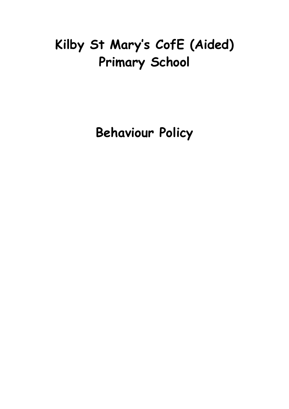# **Kilby St Mary's CofE (Aided) Primary School**

**Behaviour Policy**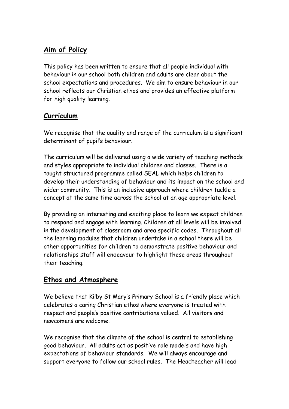# **Aim of Policy**

This policy has been written to ensure that all people individual with behaviour in our school both children and adults are clear about the school expectations and procedures. We aim to ensure behaviour in our school reflects our Christian ethos and provides an effective platform for high quality learning.

# **Curriculum**

We recognise that the quality and range of the curriculum is a significant determinant of pupil's behaviour.

The curriculum will be delivered using a wide variety of teaching methods and styles appropriate to individual children and classes. There is a taught structured programme called SEAL which helps children to develop their understanding of behaviour and its impact on the school and wider community. This is an inclusive approach where children tackle a concept at the same time across the school at an age appropriate level.

By providing an interesting and exciting place to learn we expect children to respond and engage with learning. Children at all levels will be involved in the development of classroom and area specific codes. Throughout all the learning modules that children undertake in a school there will be other opportunities for children to demonstrate positive behaviour and relationships staff will endeavour to highlight these areas throughout their teaching.

# **Ethos and Atmosphere**

We believe that Kilby St Mary's Primary School is a friendly place which celebrates a caring Christian ethos where everyone is treated with respect and people's positive contributions valued. All visitors and newcomers are welcome.

We recognise that the climate of the school is central to establishing good behaviour. All adults act as positive role models and have high expectations of behaviour standards. We will always encourage and support everyone to follow our school rules. The Headteacher will lead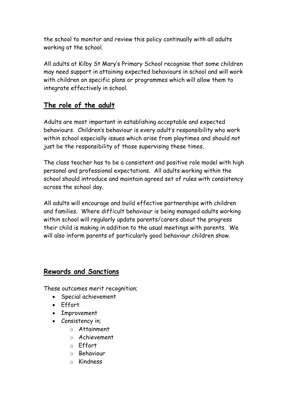the school to monitor and review this policy continually with all adults working at the school.

All adults at Kilby St Mary's Primary School recognise that some children may need support in attaining expected behaviours in school and will work with children on specific plans or programmes which will allow them to integrate effectively in school.

# **The role of the adult**

Adults are most important in establishing acceptable and expected behaviours. Children's behaviour is every adult's responsibility who work within school especially issues which arise from playtimes and should not just be the responsibility of those supervising these times.

The class teacher has to be a consistent and positive role model with high personal and professional expectations. All adults working within the school should introduce and maintain agreed set of rules with consistency across the school day.

All adults will encourage and build effective partnerships with children and families. Where difficult behaviour is being managed adults working within school will regularly update parents/carers about the progress their child is making in addition to the usual meetings with parents. We will also inform parents of particularly good behaviour children show.

# **Rewards and Sanctions**

These outcomes merit recognition;

- Special achievement
- Effort
- Improvement
- Consistency in;
	- o Attainment
	- o Achievement
	- o Effort
	- o Behaviour
	- o Kindness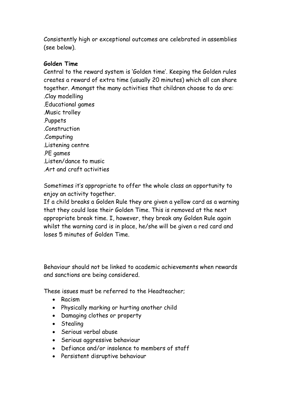Consistently high or exceptional outcomes are celebrated in assemblies (see below).

## **Golden Time**

Central to the reward system is 'Golden time'. Keeping the Golden rules creates a reward of extra time (usually 20 minutes) which all can share together. Amongst the many activities that children choose to do are: .Clay modelling .Educational games .Music trolley .Puppets .Construction .Computing .Listening centre .PE games .Listen/dance to music .Art and craft activities

Sometimes it's appropriate to offer the whole class an opportunity to enjoy an activity together.

If a child breaks a Golden Rule they are given a yellow card as a warning that they could lose their Golden Time. This is removed at the next appropriate break time. I, however, they break any Golden Rule again whilst the warning card is in place, he/she will be given a red card and loses 5 minutes of Golden Time.

Behaviour should not be linked to academic achievements when rewards and sanctions are being considered.

These issues must be referred to the Headteacher;

- Racism
- Physically marking or hurting another child
- Damaging clothes or property
- Stealing
- Serious verbal abuse
- Serious aggressive behaviour
- Defiance and/or insolence to members of staff
- Persistent disruptive behaviour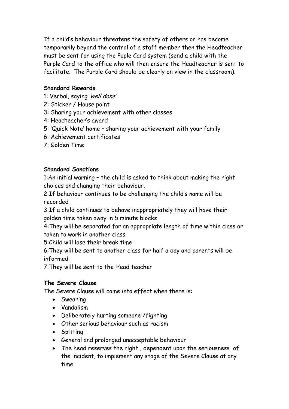If a child's behaviour threatens the safety of others or has become temporarily beyond the control of a staff member then the Headteacher must be sent for using the Puple Card system (send a child with the Purple Card to the office who will then ensure the Headteacher is sent to facilitate. The Purple Card should be clearly on view in the classroom).

# **Standard Rewards**

- 1: Verbal, saying 'well done'
- 2: Sticker / House point
- 3: Sharing your achievement with other classes
- 4: Headteacher's award
- 5: 'Quick Note' home sharing your achievement with your family
- 6: Achievement certificates
- 7: Golden Time

# **Standard Sanctions**

1:An initial warning – the child is asked to think about making the right choices and changing their behaviour.

2:If behaviour continues to be challenging the child's name will be recorded

3:If a child continues to behave inappropriately they will have their golden time taken away in 5 minute blocks

4:They will be separated for an appropriate length of time within class or taken to work in another class

5:Child will lose their break time

6:They will be sent to another class for half a day and parents will be informed

7:They will be sent to the Head teacher

## **The Severe Clause**

The Severe Clause will come into effect when there is:

- Swearing
- Vandalism
- Deliberately hurting someone /fighting
- Other serious behaviour such as racism
- Spitting
- General and prolonged unacceptable behaviour
- The head reserves the right , dependent upon the seriousness of the incident, to implement any stage of the Severe Clause at any time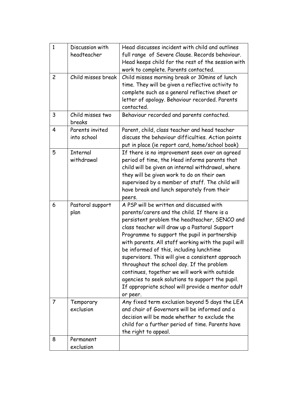| $\mathbf{1}$   | Discussion with    | Head discusses incident with child and outlines     |
|----------------|--------------------|-----------------------------------------------------|
|                | headteacher        | full range of Severe Clause. Records behaviour.     |
|                |                    | Head keeps child for the rest of the session with   |
|                |                    | work to complete. Parents contacted.                |
| $\overline{c}$ | Child misses break | Child misses morning break or 30mins of lunch       |
|                |                    | time. They will be given a reflective activity to   |
|                |                    | complete such as a general reflective sheet or      |
|                |                    | letter of apology. Behaviour recorded. Parents      |
|                |                    | contacted.                                          |
| 3              | Child misses two   | Behaviour recorded and parents contacted.           |
|                | breaks             |                                                     |
| 4              | Parents invited    | Parent, child, class teacher and head teacher       |
|                | into school        | discuss the behaviour difficulties. Action points   |
|                |                    | put in place (ie report card, home/school book)     |
| 5              | Internal           | If there is no improvement seen over an agreed      |
|                | withdrawal         | period of time, the Head informs parents that       |
|                |                    | child will be given an internal withdrawal, where   |
|                |                    | they will be given work to do on their own          |
|                |                    | supervised by a member of staff. The child will     |
|                |                    | have break and lunch separately from their          |
|                |                    | peers.                                              |
| 6              | Pastoral support   | A PSP will be written and discussed with            |
|                | plan               | parents/carers and the child. If there is a         |
|                |                    | persistent problem the headteacher, SENCO and       |
|                |                    | class teacher will draw up a Pastoral Support       |
|                |                    | Programme to support the pupil in partnership       |
|                |                    | with parents. All staff working with the pupil will |
|                |                    | be informed of this, including lunchtime            |
|                |                    | supervisors. This will give a consistent approach   |
|                |                    | throughout the school day. If the problem           |
|                |                    | continues, together we will work with outside       |
|                |                    | agencies to seek solutions to support the pupil.    |
|                |                    | If appropriate school will provide a mentor adult   |
|                |                    | or peer.                                            |
| $\overline{7}$ | Temporary          | Any fixed term exclusion beyond 5 days the LEA      |
|                | exclusion          | and chair of Governors will be informed and a       |
|                |                    | decision will be made whether to exclude the        |
|                |                    | child for a further period of time. Parents have    |
|                |                    | the right to appeal.                                |
| 8              | Permanent          |                                                     |
|                | exclusion          |                                                     |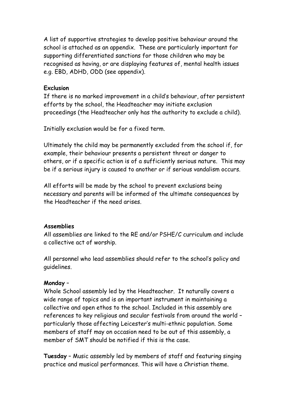A list of supportive strategies to develop positive behaviour around the school is attached as an appendix. These are particularly important for supporting differentiated sanctions for those children who may be recognised as having, or are displaying features of, mental health issues e.g. EBD, ADHD, ODD (see appendix).

#### **Exclusion**

If there is no marked improvement in a child's behaviour, after persistent efforts by the school, the Headteacher may initiate exclusion proceedings (the Headteacher only has the authority to exclude a child).

Initially exclusion would be for a fixed term.

Ultimately the child may be permanently excluded from the school if, for example, their behaviour presents a persistent threat or danger to others, or if a specific action is of a sufficiently serious nature. This may be if a serious injury is caused to another or if serious vandalism occurs.

All efforts will be made by the school to prevent exclusions being necessary and parents will be informed of the ultimate consequences by the Headteacher if the need arises.

#### **Assemblies**

All assemblies are linked to the RE and/or PSHE/C curriculum and include a collective act of worship.

All personnel who lead assemblies should refer to the school's policy and guidelines.

#### **Monday** –

Whole School assembly led by the Headteacher. It naturally covers a wide range of topics and is an important instrument in maintaining a collective and open ethos to the school. Included in this assembly are references to key religious and secular festivals from around the world – particularly those affecting Leicester's multi-ethnic population. Some members of staff may on occasion need to be out of this assembly, a member of SMT should be notified if this is the case.

**Tuesday** – Music assembly led by members of staff and featuring singing practice and musical performances. This will have a Christian theme.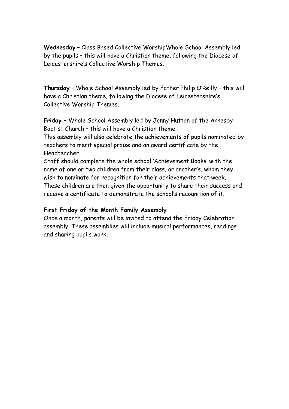**Wednesday** – Class Based Collective WorshipWhole School Assembly led by the pupils – this will have a Christian theme, following the Diocese of Leicestershire's Collective Worship Themes.

**Thursday** – Whole School Assembly led by Father Philip O'Reilly – this will have a Christian theme, following the Diocese of Leicestershire's Collective Worship Themes.

**Friday** – Whole School Assembly led by Jonny Hutton of the Arnesby Baptist Church – this will have a Christian theme.

This assembly will also celebrate the achievements of pupils nominated by teachers to merit special praise and an award certificate by the Headteacher.

Staff should complete the whole school 'Achievement Books' with the name of one or two children from their class, or another's, whom they wish to nominate for recognition for their achievements that week. These children are then given the opportunity to share their success and receive a certificate to demonstrate the school's recognition of it.

#### **First Friday of the Month Family Assembly**

Once a month, parents will be invited to attend the Friday Celebration assembly. These assemblies will include musical performances, readings and sharing pupils work.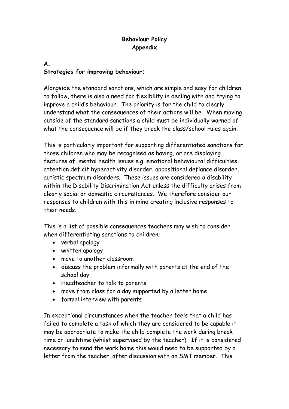## **Behaviour Policy Appendix**

# **A. Strategies for improving behaviour;**

Alongside the standard sanctions, which are simple and easy for children to follow, there is also a need for flexibility in dealing with and trying to improve a child's behaviour. The priority is for the child to clearly understand what the consequences of their actions will be. When moving outside of the standard sanctions a child must be individually warned of what the consequence will be if they break the class/school rules again.

This is particularly important for supporting differentiated sanctions for those children who may be recognised as having, or are displaying features of, mental health issues e.g. emotional behavioural difficulties, attention deficit hyperactivity disorder, oppositional defiance disorder, autistic spectrum disorders. These issues are considered a disability within the Disability Discrimination Act unless the difficulty arises from clearly social or domestic circumstances. We therefore consider our responses to children with this in mind creating inclusive responses to their needs.

This is a list of possible consequences teachers may wish to consider when differentiating sanctions to children;

- verbal apology
- written apology
- move to another classroom
- discuss the problem informally with parents at the end of the school day
- Headteacher to talk to parents
- move from class for a day supported by a letter home
- formal interview with parents

In exceptional circumstances when the teacher feels that a child has failed to complete a task of which they are considered to be capable it may be appropriate to make the child complete the work during break time or lunchtime (whilst supervised by the teacher). If it is considered necessary to send the work home this would need to be supported by a letter from the teacher, after discussion with an SMT member. This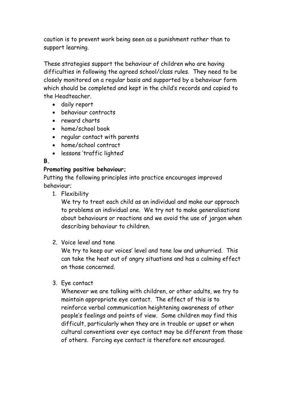caution is to prevent work being seen as a punishment rather than to support learning.

These strategies support the behaviour of children who are having difficulties in following the agreed school/class rules. They need to be closely monitored on a regular basis and supported by a behaviour form which should be completed and kept in the child's records and copied to the Headteacher.

- daily report
- behaviour contracts
- reward charts
- home/school book
- regular contact with parents
- home/school contract
- lessons 'traffic lighted'

# **B.**

## **Promoting positive behaviour;**

Putting the following principles into practice encourages improved behaviour;

1. Flexibility

We try to treat each child as an individual and make our approach to problems an individual one. We try not to make generalisations about behaviours or reactions and we avoid the use of jargon when describing behaviour to children.

2. Voice level and tone

We try to keep our voices' level and tone low and unhurried. This can take the heat out of angry situations and has a calming effect on those concerned.

3. Eye contact

Whenever we are talking with children, or other adults, we try to maintain appropriate eye contact. The effect of this is to reinforce verbal communication heightening awareness of other people's feelings and points of view. Some children may find this difficult, particularly when they are in trouble or upset or when cultural conventions over eye contact may be different from those of others. Forcing eye contact is therefore not encouraged.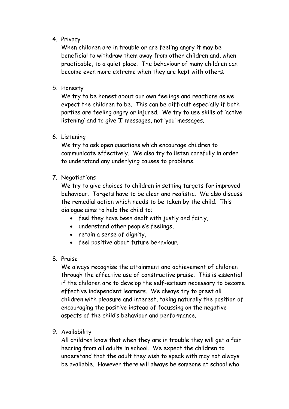## 4. Privacy

When children are in trouble or are feeling angry it may be beneficial to withdraw them away from other children and, when practicable, to a quiet place. The behaviour of many children can become even more extreme when they are kept with others.

5. Honesty

We try to be honest about our own feelings and reactions as we expect the children to be. This can be difficult especially if both parties are feeling angry or injured. We try to use skills of 'active listening' and to give 'I' messages, not 'you' messages.

6. Listening

We try to ask open questions which encourage children to communicate effectively. We also try to listen carefully in order to understand any underlying causes to problems.

#### 7. Negotiations

We try to give choices to children in setting targets for improved behaviour. Targets have to be clear and realistic. We also discuss the remedial action which needs to be taken by the child. This dialogue aims to help the child to;

- feel they have been dealt with justly and fairly,
- understand other people's feelings,
- retain a sense of dignity,
- feel positive about future behaviour.
- 8. Praise

We always recognise the attainment and achievement of children through the effective use of constructive praise. This is essential if the children are to develop the self-esteem necessary to become effective independent learners. We always try to greet all children with pleasure and interest, taking naturally the position of encouraging the positive instead of focussing on the negative aspects of the child's behaviour and performance.

9. Availability

All children know that when they are in trouble they will get a fair hearing from all adults in school. We expect the children to understand that the adult they wish to speak with may not always be available. However there will always be someone at school who